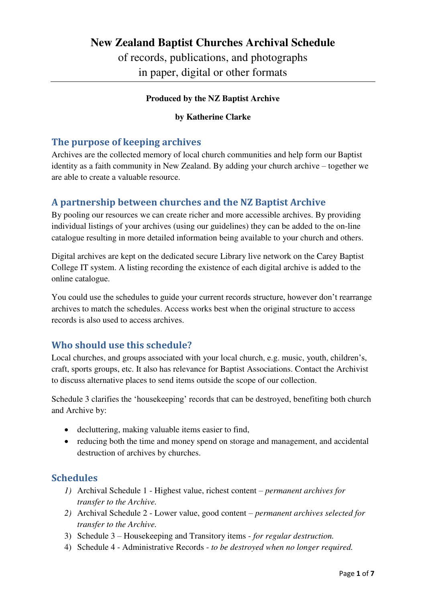## **New Zealand Baptist Churches Archival Schedule**

of records, publications, and photographs in paper, digital or other formats

#### **Produced by the NZ Baptist Archive**

#### **by Katherine Clarke**

### **The purpose of keeping archives**

Archives are the collected memory of local church communities and help form our Baptist identity as a faith community in New Zealand. By adding your church archive – together we are able to create a valuable resource.

### **A partnership between churches and the NZ Baptist Archive**

By pooling our resources we can create richer and more accessible archives. By providing individual listings of your archives (using our guidelines) they can be added to the on-line catalogue resulting in more detailed information being available to your church and others.

Digital archives are kept on the dedicated secure Library live network on the Carey Baptist College IT system. A listing recording the existence of each digital archive is added to the online catalogue.

You could use the schedules to guide your current records structure, however don't rearrange archives to match the schedules. Access works best when the original structure to access records is also used to access archives.

### **Who should use this schedule?**

Local churches, and groups associated with your local church, e.g. music, youth, children's, craft, sports groups, etc. It also has relevance for Baptist Associations. Contact the Archivist to discuss alternative places to send items outside the scope of our collection.

Schedule 3 clarifies the 'housekeeping' records that can be destroyed, benefiting both church and Archive by:

- decluttering, making valuable items easier to find,
- reducing both the time and money spend on storage and management, and accidental destruction of archives by churches.

### **Schedules**

- *1)* Archival Schedule 1 Highest value, richest content *permanent archives for transfer to the Archive.*
- *2)* Archival Schedule 2 Lower value, good content *permanent archives selected for transfer to the Archive.*
- 3) Schedule 3 Housekeeping and Transitory items *for regular destruction.*
- 4) Schedule 4 Administrative Records *to be destroyed when no longer required.*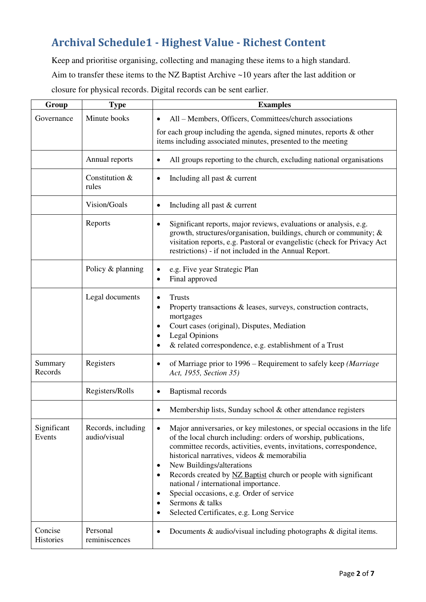# **Archival Schedule1 - Highest Value - Richest Content**

Keep and prioritise organising, collecting and managing these items to a high standard. Aim to transfer these items to the NZ Baptist Archive ~10 years after the last addition or closure for physical records. Digital records can be sent earlier.

| Group                 | <b>Type</b>                        | <b>Examples</b>                                                                                                                                                                                                                                                                                                                                                                                                                                                                                                                                                            |  |  |
|-----------------------|------------------------------------|----------------------------------------------------------------------------------------------------------------------------------------------------------------------------------------------------------------------------------------------------------------------------------------------------------------------------------------------------------------------------------------------------------------------------------------------------------------------------------------------------------------------------------------------------------------------------|--|--|
| Governance            | Minute books                       | All - Members, Officers, Committees/church associations<br>$\bullet$                                                                                                                                                                                                                                                                                                                                                                                                                                                                                                       |  |  |
|                       |                                    | for each group including the agenda, signed minutes, reports $\&$ other<br>items including associated minutes, presented to the meeting                                                                                                                                                                                                                                                                                                                                                                                                                                    |  |  |
|                       | Annual reports                     | All groups reporting to the church, excluding national organisations                                                                                                                                                                                                                                                                                                                                                                                                                                                                                                       |  |  |
|                       | Constitution &<br>rules            | Including all past & current<br>٠                                                                                                                                                                                                                                                                                                                                                                                                                                                                                                                                          |  |  |
|                       | Vision/Goals                       | Including all past & current<br>٠                                                                                                                                                                                                                                                                                                                                                                                                                                                                                                                                          |  |  |
|                       | Reports                            | Significant reports, major reviews, evaluations or analysis, e.g.<br>٠<br>growth, structures/organisation, buildings, church or community; &<br>visitation reports, e.g. Pastoral or evangelistic (check for Privacy Act<br>restrictions) - if not included in the Annual Report.                                                                                                                                                                                                                                                                                          |  |  |
|                       | Policy & planning                  | e.g. Five year Strategic Plan<br>Final approved                                                                                                                                                                                                                                                                                                                                                                                                                                                                                                                            |  |  |
|                       | Legal documents                    | <b>Trusts</b><br>Property transactions & leases, surveys, construction contracts,<br>mortgages<br>Court cases (original), Disputes, Mediation<br>٠<br><b>Legal Opinions</b><br>٠<br>& related correspondence, e.g. establishment of a Trust<br>٠                                                                                                                                                                                                                                                                                                                           |  |  |
| Summary<br>Records    | Registers                          | of Marriage prior to 1996 – Requirement to safely keep (Marriage<br>Act, 1955, Section 35)                                                                                                                                                                                                                                                                                                                                                                                                                                                                                 |  |  |
|                       | Registers/Rolls                    | <b>Baptismal</b> records<br>٠                                                                                                                                                                                                                                                                                                                                                                                                                                                                                                                                              |  |  |
|                       |                                    | Membership lists, Sunday school & other attendance registers<br>٠                                                                                                                                                                                                                                                                                                                                                                                                                                                                                                          |  |  |
| Significant<br>Events | Records, including<br>audio/visual | Major anniversaries, or key milestones, or special occasions in the life<br>$\bullet$<br>of the local church including: orders of worship, publications,<br>committee records, activities, events, invitations, correspondence,<br>historical narratives, videos & memorabilia<br>New Buildings/alterations<br>٠<br>Records created by NZ Baptist church or people with significant<br>٠<br>national / international importance.<br>Special occasions, e.g. Order of service<br>$\bullet$<br>Sermons & talks<br>$\bullet$<br>Selected Certificates, e.g. Long Service<br>٠ |  |  |
| Concise<br>Histories  | Personal<br>reminiscences          | Documents & audio/visual including photographs & digital items.                                                                                                                                                                                                                                                                                                                                                                                                                                                                                                            |  |  |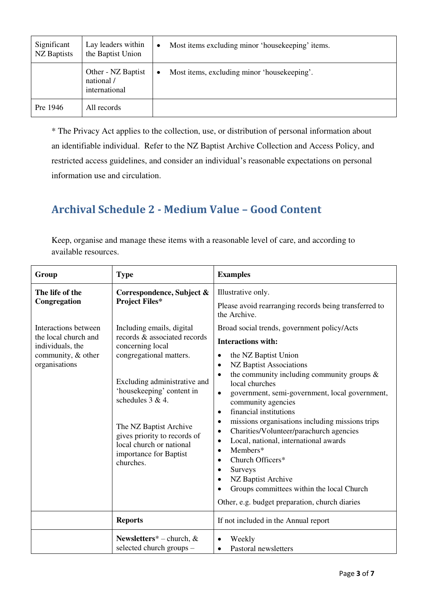| Significant<br><b>NZ</b> Baptists | Lay leaders within<br>the Baptist Union           | $\bullet$ | Most items excluding minor 'housekeeping' items. |
|-----------------------------------|---------------------------------------------------|-----------|--------------------------------------------------|
|                                   | Other - NZ Baptist<br>national /<br>international | $\bullet$ | Most items, excluding minor 'housekeeping'.      |
| Pre 1946                          | All records                                       |           |                                                  |

\* The Privacy Act applies to the collection, use, or distribution of personal information about an identifiable individual. Refer to the NZ Baptist Archive Collection and Access Policy, and restricted access guidelines, and consider an individual's reasonable expectations on personal information use and circulation.

# **Archival Schedule 2 - Medium Value – Good Content**

| Keep, organise and manage these items with a reasonable level of care, and according to |  |
|-----------------------------------------------------------------------------------------|--|
| available resources.                                                                    |  |

| Group                                                                           | <b>Type</b>                                                                                                                                                                                                                                                                                  | <b>Examples</b>                                                                                                                                                                                                                                                                                                                                                                                                                            |  |  |
|---------------------------------------------------------------------------------|----------------------------------------------------------------------------------------------------------------------------------------------------------------------------------------------------------------------------------------------------------------------------------------------|--------------------------------------------------------------------------------------------------------------------------------------------------------------------------------------------------------------------------------------------------------------------------------------------------------------------------------------------------------------------------------------------------------------------------------------------|--|--|
| The life of the<br>Congregation<br>Interactions between                         | Correspondence, Subject &<br><b>Project Files*</b><br>Including emails, digital                                                                                                                                                                                                              | Illustrative only.<br>Please avoid rearranging records being transferred to<br>the Archive.<br>Broad social trends, government policy/Acts                                                                                                                                                                                                                                                                                                 |  |  |
| the local church and<br>individuals, the<br>community, & other<br>organisations | records & associated records<br>concerning local<br>congregational matters.<br>Excluding administrative and<br>'housekeeping' content in<br>schedules $3 & 4$ .<br>The NZ Baptist Archive<br>gives priority to records of<br>local church or national<br>importance for Baptist<br>churches. | <b>Interactions with:</b><br>the NZ Baptist Union<br>$\bullet$<br>NZ Baptist Associations<br>$\bullet$<br>the community including community groups $\&$<br>$\bullet$<br>local churches<br>government, semi-government, local government,<br>$\bullet$<br>community agencies<br>financial institutions<br>$\bullet$<br>missions organisations including missions trips<br>$\bullet$<br>Charities/Volunteer/parachurch agencies<br>$\bullet$ |  |  |
|                                                                                 |                                                                                                                                                                                                                                                                                              | Local, national, international awards<br>$\bullet$<br>Members*<br>$\bullet$<br>Church Officers*<br>$\bullet$<br>Surveys<br>$\bullet$<br>NZ Baptist Archive<br>$\bullet$<br>Groups committees within the local Church<br>٠<br>Other, e.g. budget preparation, church diaries                                                                                                                                                                |  |  |
|                                                                                 | <b>Reports</b>                                                                                                                                                                                                                                                                               | If not included in the Annual report                                                                                                                                                                                                                                                                                                                                                                                                       |  |  |
|                                                                                 | Newsletters* – church, $\&$<br>selected church groups -                                                                                                                                                                                                                                      | Weekly<br>$\bullet$<br>Pastoral newsletters<br>$\bullet$                                                                                                                                                                                                                                                                                                                                                                                   |  |  |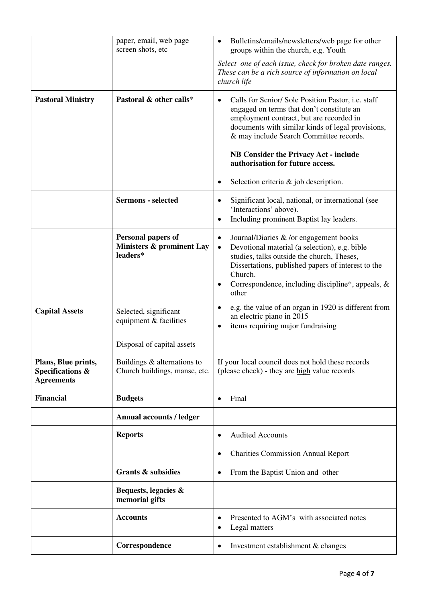|                                                              | paper, email, web page<br>screen shots, etc                        | Bulletins/emails/newsletters/web page for other<br>$\bullet$<br>groups within the church, e.g. Youth                                                                                                                                                                                                |  |  |
|--------------------------------------------------------------|--------------------------------------------------------------------|-----------------------------------------------------------------------------------------------------------------------------------------------------------------------------------------------------------------------------------------------------------------------------------------------------|--|--|
|                                                              |                                                                    | Select one of each issue, check for broken date ranges.<br>These can be a rich source of information on local<br>church life                                                                                                                                                                        |  |  |
| <b>Pastoral Ministry</b>                                     | Pastoral & other calls*                                            | Calls for Senior/ Sole Position Pastor, i.e. staff<br>$\bullet$<br>engaged on terms that don't constitute an<br>employment contract, but are recorded in<br>documents with similar kinds of legal provisions,<br>& may include Search Committee records.                                            |  |  |
|                                                              |                                                                    | <b>NB Consider the Privacy Act - include</b><br>authorisation for future access.                                                                                                                                                                                                                    |  |  |
|                                                              |                                                                    | Selection criteria $\&$ job description.<br>$\bullet$                                                                                                                                                                                                                                               |  |  |
|                                                              | <b>Sermons</b> - selected                                          | Significant local, national, or international (see<br>$\bullet$<br>'Interactions' above).<br>Including prominent Baptist lay leaders.<br>$\bullet$                                                                                                                                                  |  |  |
|                                                              | <b>Personal papers of</b><br>Ministers & prominent Lay<br>leaders* | Journal/Diaries & /or engagement books<br>$\bullet$<br>Devotional material (a selection), e.g. bible<br>$\bullet$<br>studies, talks outside the church, Theses,<br>Dissertations, published papers of interest to the<br>Church.<br>Correspondence, including discipline*, appeals, &<br>٠<br>other |  |  |
| <b>Capital Assets</b>                                        | Selected, significant<br>equipment & facilities                    | e.g. the value of an organ in 1920 is different from<br>$\bullet$<br>an electric piano in 2015<br>items requiring major fundraising<br>$\bullet$                                                                                                                                                    |  |  |
|                                                              | Disposal of capital assets                                         |                                                                                                                                                                                                                                                                                                     |  |  |
| Plans, Blue prints,<br>Specifications &<br><b>Agreements</b> | Buildings $&$ alternations to<br>Church buildings, manse, etc.     | If your local council does not hold these records<br>(please check) - they are high value records                                                                                                                                                                                                   |  |  |
| <b>Financial</b>                                             | <b>Budgets</b>                                                     | Final<br>$\bullet$                                                                                                                                                                                                                                                                                  |  |  |
|                                                              | <b>Annual accounts / ledger</b>                                    |                                                                                                                                                                                                                                                                                                     |  |  |
|                                                              | <b>Reports</b>                                                     | <b>Audited Accounts</b><br>$\bullet$                                                                                                                                                                                                                                                                |  |  |
|                                                              |                                                                    | <b>Charities Commission Annual Report</b><br>$\bullet$                                                                                                                                                                                                                                              |  |  |
|                                                              | <b>Grants &amp; subsidies</b>                                      | From the Baptist Union and other<br>$\bullet$                                                                                                                                                                                                                                                       |  |  |
|                                                              | Bequests, legacies &<br>memorial gifts                             |                                                                                                                                                                                                                                                                                                     |  |  |
|                                                              | <b>Accounts</b>                                                    | Presented to AGM's with associated notes<br>$\bullet$<br>Legal matters<br>$\bullet$                                                                                                                                                                                                                 |  |  |
|                                                              | Correspondence                                                     | Investment establishment & changes<br>$\bullet$                                                                                                                                                                                                                                                     |  |  |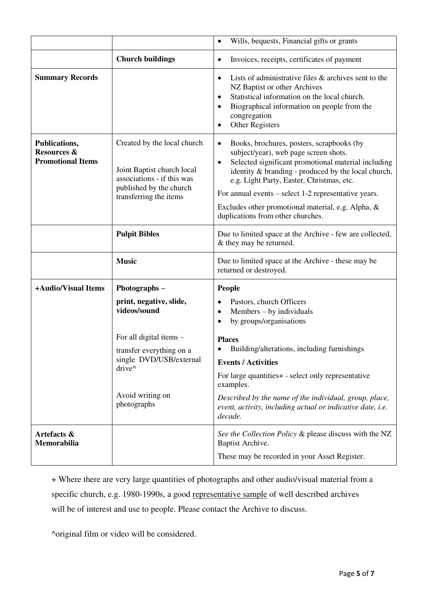|                                                          |                                                                                                                                              | Wills, bequests, Financial gifts or grants<br>$\bullet$                                                                                                                                                                                                                                                                                                                                                                      |
|----------------------------------------------------------|----------------------------------------------------------------------------------------------------------------------------------------------|------------------------------------------------------------------------------------------------------------------------------------------------------------------------------------------------------------------------------------------------------------------------------------------------------------------------------------------------------------------------------------------------------------------------------|
|                                                          | <b>Church buildings</b>                                                                                                                      | Invoices, receipts, certificates of payment<br>$\bullet$                                                                                                                                                                                                                                                                                                                                                                     |
| <b>Summary Records</b>                                   |                                                                                                                                              | Lists of administrative files & archives sent to the<br>$\bullet$<br>NZ Baptist or other Archives<br>Statistical information on the local church.<br>$\bullet$<br>Biographical information on people from the<br>congregation<br>Other Registers<br>$\bullet$                                                                                                                                                                |
| Publications,<br>Resources &<br><b>Promotional Items</b> | Created by the local church<br>Joint Baptist church local<br>associations - if this was<br>published by the church<br>transferring the items | Books, brochures, posters, scrapbooks (by<br>$\bullet$<br>subject/year), web page screen shots.<br>Selected significant promotional material including<br>$\bullet$<br>identity & branding - produced by the local church,<br>e.g. Light Party, Easter, Christmas, etc.<br>For annual events $-$ select 1-2 representative years.<br>Excludes other promotional material, e.g. Alpha, &<br>duplications from other churches. |
|                                                          | <b>Pulpit Bibles</b>                                                                                                                         | Due to limited space at the Archive - few are collected,<br>& they may be returned.                                                                                                                                                                                                                                                                                                                                          |
|                                                          | <b>Music</b>                                                                                                                                 | Due to limited space at the Archive - these may be<br>returned or destroyed.                                                                                                                                                                                                                                                                                                                                                 |
| +Audio/Visual Items                                      | Photographs-                                                                                                                                 | <b>People</b>                                                                                                                                                                                                                                                                                                                                                                                                                |
|                                                          | print, negative, slide,<br>videos/sound                                                                                                      | Pastors, church Officers<br>$\bullet$<br>Members – by individuals<br>$\bullet$<br>by groups/organisations<br>$\bullet$                                                                                                                                                                                                                                                                                                       |
|                                                          | For all digital items -                                                                                                                      | <b>Places</b>                                                                                                                                                                                                                                                                                                                                                                                                                |
| transfer everything on a<br>single DVD/USB/external      |                                                                                                                                              | Building/alterations, including furnishings                                                                                                                                                                                                                                                                                                                                                                                  |
|                                                          | drive^                                                                                                                                       | <b>Events / Activities</b><br>For large quantities + - select only representative                                                                                                                                                                                                                                                                                                                                            |
|                                                          |                                                                                                                                              | examples.                                                                                                                                                                                                                                                                                                                                                                                                                    |
|                                                          | Avoid writing on<br>photographs                                                                                                              | Described by the name of the individual, group, place,<br>event, activity, including actual or indicative date, i.e.<br>decade.                                                                                                                                                                                                                                                                                              |
|                                                          |                                                                                                                                              |                                                                                                                                                                                                                                                                                                                                                                                                                              |
| Artefacts &<br>Memorabilia                               |                                                                                                                                              | See the Collection Policy & please discuss with the NZ<br>Baptist Archive.                                                                                                                                                                                                                                                                                                                                                   |

+ Where there are very large quantities of photographs and other audio/visual material from a specific church, e.g. 1980-1990s, a good representative sample of well described archives will be of interest and use to people. Please contact the Archive to discuss.

^original film or video will be considered.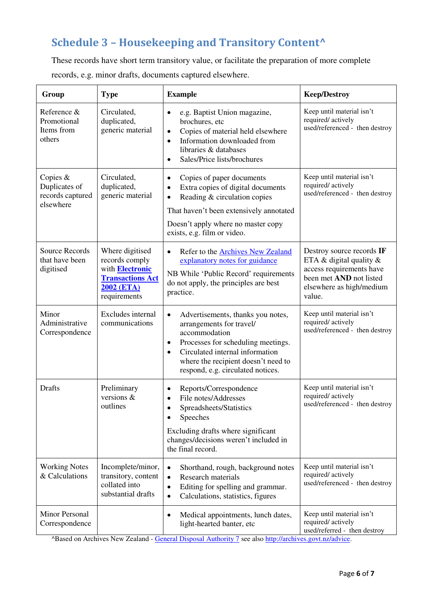# **Schedule 3 – Housekeeping and Transitory Content^**

These records have short term transitory value, or facilitate the preparation of more complete records, e.g. minor drafts, documents captured elsewhere.

| Group                                                        | <b>Type</b>                                                                                                                 | <b>Example</b>                                                                                                                                                                                                                                                             | <b>Keep/Destroy</b>                                                                                                                                     |
|--------------------------------------------------------------|-----------------------------------------------------------------------------------------------------------------------------|----------------------------------------------------------------------------------------------------------------------------------------------------------------------------------------------------------------------------------------------------------------------------|---------------------------------------------------------------------------------------------------------------------------------------------------------|
| Reference &<br>Promotional<br>Items from<br>others           | Circulated,<br>duplicated,<br>generic material                                                                              | e.g. Baptist Union magazine,<br>$\bullet$<br>brochures, etc<br>Copies of material held elsewhere<br>$\bullet$<br>Information downloaded from<br>$\bullet$<br>libraries & databases<br>Sales/Price lists/brochures<br>$\bullet$                                             | Keep until material isn't<br>required/actively<br>used/referenced - then destroy                                                                        |
| Copies $&$<br>Duplicates of<br>records captured<br>elsewhere | Circulated,<br>duplicated,<br>generic material                                                                              | Copies of paper documents<br>$\bullet$<br>Extra copies of digital documents<br>$\bullet$<br>Reading & circulation copies<br>$\bullet$<br>That haven't been extensively annotated<br>Doesn't apply where no master copy<br>exists, e.g. film or video.                      | Keep until material isn't<br>required/actively<br>used/referenced - then destroy                                                                        |
| <b>Source Records</b><br>that have been<br>digitised         | Where digitised<br>records comply<br>with <b>Electronic</b><br><b>Transactions Act</b><br><b>2002 (ETA)</b><br>requirements | Refer to the <b>Archives New Zealand</b><br>$\bullet$<br>explanatory notes for guidance<br>NB While 'Public Record' requirements<br>do not apply, the principles are best<br>practice.                                                                                     | Destroy source records IF<br>ETA $\&$ digital quality $\&$<br>access requirements have<br>been met AND not listed<br>elsewhere as high/medium<br>value. |
| Minor<br>Administrative<br>Correspondence                    | Excludes internal<br>communications                                                                                         | Advertisements, thanks you notes,<br>$\bullet$<br>arrangements for travel/<br>accommodation<br>Processes for scheduling meetings.<br>$\bullet$<br>Circulated internal information<br>$\bullet$<br>where the recipient doesn't need to<br>respond, e.g. circulated notices. | Keep until material isn't<br>required/actively<br>used/referenced - then destroy                                                                        |
| <b>Drafts</b>                                                | Preliminary<br>versions $\&$<br>outlines                                                                                    | Reports/Correspondence<br>$\bullet$<br>File notes/Addresses<br>$\bullet$<br>Spreadsheets/Statistics<br>Speeches<br>Excluding drafts where significant<br>changes/decisions weren't included in<br>the final record.                                                        | Keep until material isn't<br>required/actively<br>used/referenced - then destroy                                                                        |
| <b>Working Notes</b><br>& Calculations                       | Incomplete/minor,<br>transitory, content<br>collated into<br>substantial drafts                                             | Shorthand, rough, background notes<br>$\bullet$<br>Research materials<br>$\bullet$<br>Editing for spelling and grammar.<br>$\bullet$<br>Calculations, statistics, figures<br>$\bullet$                                                                                     | Keep until material isn't<br>required/actively<br>used/referenced - then destroy                                                                        |
| <b>Minor Personal</b><br>Correspondence                      |                                                                                                                             | Medical appointments, lunch dates,<br>$\bullet$<br>light-hearted banter, etc                                                                                                                                                                                               | Keep until material isn't<br>required/actively<br>used/referred - then destroy                                                                          |

^Based on Archives New Zealand [- General Disposal Authority 7](http://archives.govt.nz/sites/default/files/general_disposal_authority_7_facilitative_transitory_and_short-term_records.pdf) see also [http://archives.govt.nz/advice.](http://archives.govt.nz/advice)